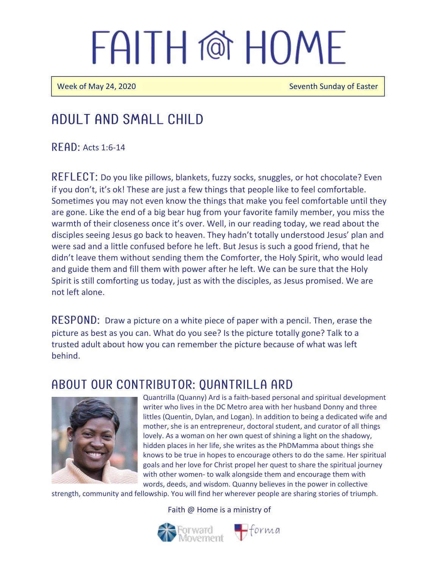# FAITH @ HOME

Week of May 24, 2020 Seventh Sunday of Easter

## Adult and Small Child

 $R$  FAD: Acts 1:6-14

 $REFLECI:$  Do you like pillows, blankets, fuzzy socks, snuggles, or hot chocolate? Even if you don't, it's ok! These are just a few things that people like to feel comfortable. Sometimes you may not even know the things that make you feel comfortable until they are gone. Like the end of a big bear hug from your favorite family member, you miss the warmth of their closeness once it's over. Well, in our reading today, we read about the disciples seeing Jesus go back to heaven. They hadn't totally understood Jesus' plan and were sad and a little confused before he left. But Jesus is such a good friend, that he didn't leave them without sending them the Comforter, the Holy Spirit, who would lead and guide them and fill them with power after he left. We can be sure that the Holy Spirit is still comforting us today, just as with the disciples, as Jesus promised. We are not left alone.

RESPOND: Draw a picture on a white piece of paper with a pencil. Then, erase the picture as best as you can. What do you see? Is the picture totally gone? Talk to a trusted adult about how you can remember the picture because of what was left behind.

### ABOUT OUR CONTRIBUTOR: OUANTRILLA ARD



Quantrilla (Quanny) Ard is a faith-based personal and spiritual development writer who lives in the DC Metro area with her husband Donny and three littles (Quentin, Dylan, and Logan). In addition to being a dedicated wife and mother, she is an entrepreneur, doctoral student, and curator of all things lovely. As a woman on her own quest of shining a light on the shadowy, hidden places in her life, she writes as the PhDMamma about things she knows to be true in hopes to encourage others to do the same. Her spiritual goals and her love for Christ propel her quest to share the spiritual journey with other women- to walk alongside them and encourage them with words, deeds, and wisdom. Quanny believes in the power in collective

strength, community and fellowship. You will find her wherever people are sharing stories of triumph.

Faith @ Home is a ministry of

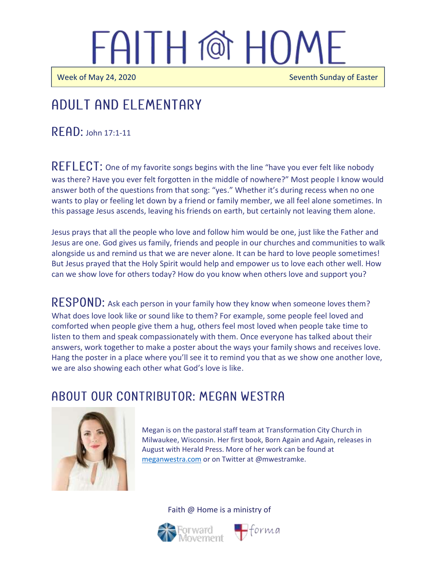# FAITH @ HOME

 $\overline{\phantom{a}}$ 

Week of May 24, 2020 Seventh Sunday of Easter

#### j Adult and elementary

 $R$   $F$  $AD$ : John 17:1-11

REFLECT: One of my favorite songs begins with the line "have you ever felt like nobody was there? Have you ever felt forgotten in the middle of nowhere?" Most people I know would answer both of the questions from that song: "yes." Whether it's during recess when no one wants to play or feeling let down by a friend or family member, we all feel alone sometimes. In this passage Jesus ascends, leaving his friends on earth, but certainly not leaving them alone.

Jesus prays that all the people who love and follow him would be one, just like the Father and Jesus are one. God gives us family, friends and people in our churches and communities to walk alongside us and remind us that we are never alone. It can be hard to love people sometimes! But Jesus prayed that the Holy Spirit would help and empower us to love each other well. How can we show love for others today? How do you know when others love and support you?

 $\mathsf{RESPOND}\text{:}$  Ask each person in your family how they know when someone loves them? What does love look like or sound like to them? For example, some people feel loved and comforted when people give them a hug, others feel most loved when people take time to listen to them and speak compassionately with them. Once everyone has talked about their answers, work together to make a poster about the ways your family shows and receives love. Hang the poster in a place where you'll see it to remind you that as we show one another love, we are also showing each other what God's love is like.

### A BOUT OUR CONTRIBUTOR: MEGAN WESTRA



Megan is on the pastoral staff team at Transformation City Church in Milwaukee, Wisconsin. Her first book, Born Again and Again, releases in August with Herald Press. More of her work can be found at [meganwestra.com](https://meganwestra.com/) or on Twitter at @mwestramke.





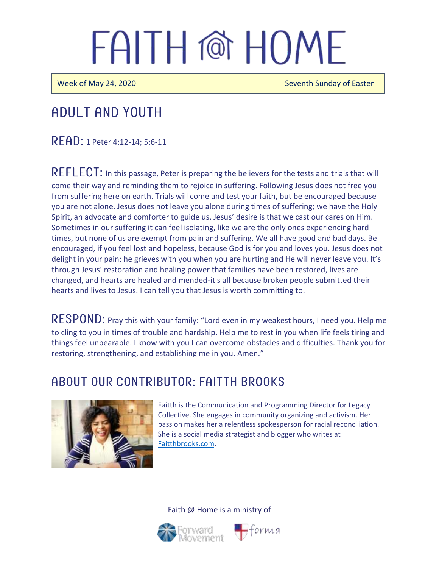# FAITH @ HOMF

Week of May 24, 2020 Seventh Sunday of Easter

# Adult and youth

READ: 1 Peter 4:12-14; 5:6-11

REFLECT: In this passage, Peter is preparing the believers for the tests and trials that will come their way and reminding them to rejoice in suffering. Following Jesus does not free you from suffering here on earth. Trials will come and test your faith, but be encouraged because you are not alone. Jesus does not leave you alone during times of suffering; we have the Holy Spirit, an advocate and comforter to guide us. Jesus' desire is that we cast our cares on Him. Sometimes in our suffering it can feel isolating, like we are the only ones experiencing hard times, but none of us are exempt from pain and suffering. We all have good and bad days. Be encouraged, if you feel lost and hopeless, because God is for you and loves you. Jesus does not delight in your pain; he grieves with you when you are hurting and He will never leave you. It's through Jesus' restoration and healing power that families have been restored, lives are changed, and hearts are healed and mended-it's all because broken people submitted their hearts and lives to Jesus. I can tell you that Jesus is worth committing to.

RESPOND: Pray this with your family: "Lord even in my weakest hours, I need you. Help me to cling to you in times of trouble and hardship. Help me to rest in you when life feels tiring and things feel unbearable. I know with you I can overcome obstacles and difficulties. Thank you for restoring, strengthening, and establishing me in you. Amen."

### A BOUT OUR CONTRIBUTOR: FAITTH BROOKS



Faitth is the Communication and Programming Director for Legacy Collective. She engages in community organizing and activism. Her passion makes her a relentless spokesperson for racial reconciliation. She is a social media strategist and blogger who writes at [Faitthbrooks.com.](https://faitthbrooks.com/)

#### Faith @ Home is a ministry of